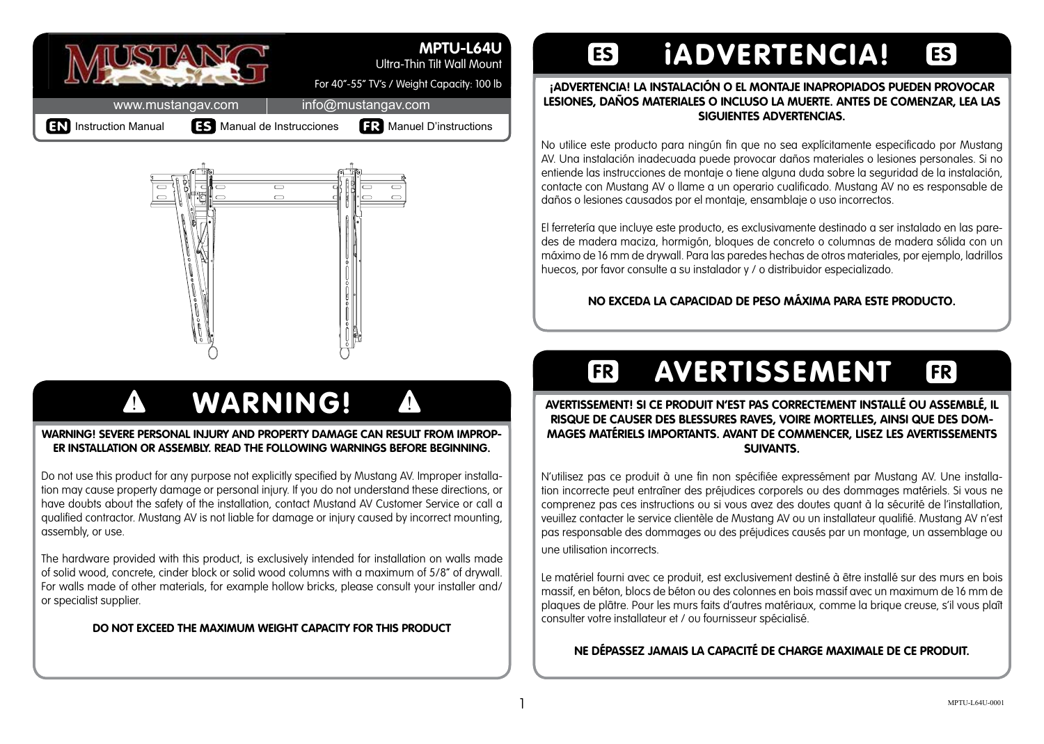

#### **MPTU-L64U**

Ultra-Thin Tilt Wall Mount

For 40"-55" TV's / Weight Capacity: 100 lb

www.mustangav.com | info@mustangav.com

**EN** Instruction Manual **IS** Manual de Instrucciones **FR** Manuel D'instructions



# **A WARNING! 4**

#### WARNING! SEVERE PERSONAL IN ILIRY AND PROPERTY DAMAGE CAN RESULT FROM IMPROP-**ER INSTALLATION OR ASSEMBLY. READ THE FOLLOWING WARNINGS BEFORE BEGINNING.**

Do not use this product for any purpose not explicitly specified by Mustang AV. Improper installation may cause property damage or personal injury. If you do not understand these directions, or have doubts about the safety of the installation, contact Mustand AV Customer Service or call a qualified contractor. Mustang AV is not liable for damage or injury caused by incorrect mounting, assembly, or use.

The hardware provided with this product, is exclusively intended for installation on walls made of solid wood, concrete, cinder block or solid wood columns with a maximum of 5/8" of drywall. For walls made of other materials, for example hollow bricks, please consult your installer and/ or specialist supplier.

#### **DO NOT EXCEED THE MAXIMUM WEIGHT CAPACITY FOR THIS PRODUCT**

#### iADVERTENCIA!  $[ES]$ **ES**

#### **¡ADVERTENCIA! LA INSTALACIÓN O EL MONTAJE INAPROPIADOS PUEDEN PROVOCAR LESIONES, DAÑOS MATERIALES O INCLUSO LA MUERTE. ANTES DE COMENZAR, LEA LAS SIGUIENTES ADVERTENCIAS.**

No utilice este producto para ningún fin que no sea explícitamente especificado por Mustang AV. Una instalación inadecuada puede provocar daños materiales o lesiones personales. Si no entiende las instrucciones de montaje o tiene alguna duda sobre la seguridad de la instalación. contacte con Mustang AV o llame a un operario cualificado. Mustang AV no es responsable de daños o lesiones causados por el montaje, ensamblaje o uso incorrectos.

El ferretería que incluye este producto, es exclusivamente destinado a ser instalado en las paredes de madera maciza, hormigón, bloques de concreto o columnas de madera sólida con un máximo de 16 mm de drywall. Para las paredes hechas de otros materiales, por ejemplo, ladrillos huecos, por favor consulte a su instalador y / o distribuidor especializado.

#### **NO EXCEDA LA CAPACIDAD DE PESO MÁXIMA PARA ESTE PRODUCTO.**

## AVERTISSEMENT

 $FR]$ 

 $[FR]$ 

#### **AVERTISSEMENT! SI CE PRODUIT N'EST PAS CORRECTEMENT INSTALLÉ OU ASSEMBLÉ, IL RISQUE DE CAUSER DES BLESSURES RAVES, VOIRE MORTELLES, AINSI QUE DES DOM-MAGES MATÉRIELS IMPORTANTS. AVANT DE COMMENCER, LISEZ LES AVERTISSEMENTS SUIVANTS.**

N'utilisez pas ce produit à une fin non spécifiée expressément par Mustang AV. Une installation incorrecte peut entraîner des préjudices corporels ou des dommages matériels. Si vous ne comprenez pas ces instructions ou si vous avez des doutes quant à la sécurité de l'installation, veuillez contacter le service clientèle de Mustang AV ou un installateur qualifié. Mustang AV n'est pas responsable des dommages ou des préjudices causés par un montage, un assemblage ou une utilisation incorrects.

Le matériel fourni avec ce produit, est exclusivement destiné à être installé sur des murs en bois massif, en béton, blocs de béton ou des colonnes en bois massif avec un maximum de 16 mm de plaques de plâtre. Pour les murs faits d'autres matériaux, comme la brique creuse, s'il vous plaît consulter votre installateur et / ou fournisseur spécialisé.

**NE DÉPASSEZ JAMAIS LA CAPACITÉ DE CHARGE MAXIMALE DE CE PRODUIT.**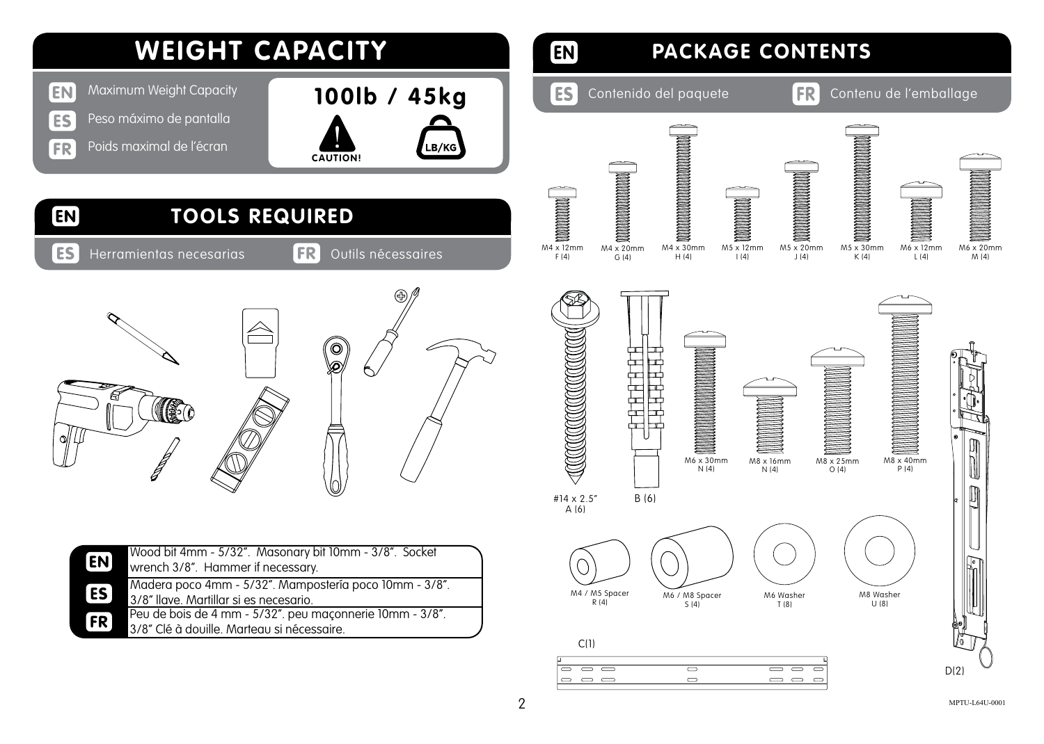

#### $\boxed{EN}$ **PACKAGE CONTENTS ES** Contenido del paquete **FR** Contenu de l'emballage **A MANA A MANA A MANA A MANA A MANA A MANA A MANA A MANA A MANA A MANA A MANA A MANA A MANA A MANA A MANA A MAN MANAHANANANANANAN** M4 x 20mm M4 x 30mm M5 x 12mm M5 x 20mm M5 x 30mm M6 x 12mm M6 x 20mm M4 x 12mm F (4)  $K(4)$ H (4) I (4)  $| (4)$ L (4) M (4) G (4) ╋╄╋<u>╋╊╊╊</u> M8 x 16mm  $M8 \times 25$ mm M8 x 40mm M6 x 30mm N (4)  $N(4)$  $0(4)$ P (4) B (6) #14 x 2.5" A (6) M4 / M5 Spacer M6 / M8 Spacer M8 Washer M6 Washer  $R(4)$ S (4) T (8)  $U(8)$

#### $C(1)$  $\overline{\circ}$   $\overline{\circ}$   $\overline{\circ}$  $\overline{\bullet}$  $\overline{\phantom{0}}$  $\overline{\phantom{a}}$  $\circ$   $\circ$   $\circ$  $\Rightarrow$  $\Rightarrow$   $\Rightarrow$

 $2$  MPTU-L64U-0001

 $D(2)$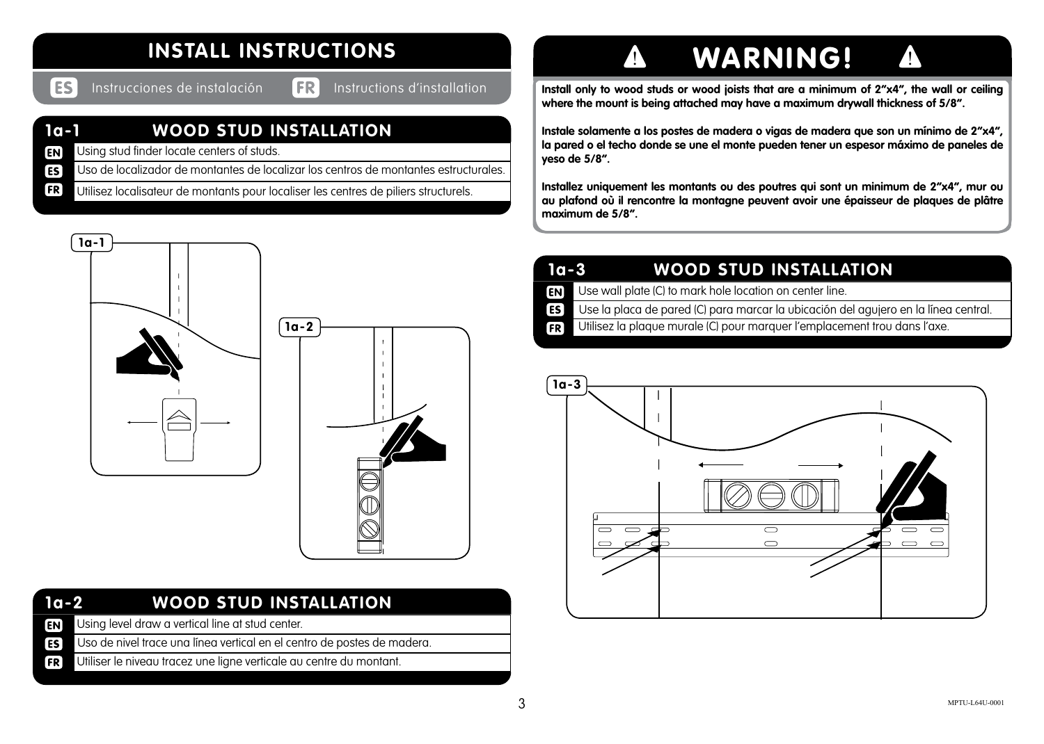### **INSTALL INSTRUCTIONS**

ES:

Instrucciones de instalación Instructions d'installation

#### **1a-1 WOOD STUD INSTALLATION**

- **EN** Using stud finder locate centers of studs.
- **ES** Uso de localizador de montantes de localizar los centros de montantes estructurales.
- **FR** Utilisez localisateur de montants pour localiser les centres de piliers structurels.



| $1a-2$ | <b>WOOD STUD INSTALLATION</b> |  |
|--------|-------------------------------|--|
|        |                               |  |

- Using level draw a vertical line at stud center.  $F<sub>N</sub>$
- Uso de nivel trace una línea vertical en el centro de postes de madera. **ES**
- Utiliser le niveau tracez une ligne verticale au centre du montant. **FR**

# **A WARNING! 4**

**Install only to wood studs or wood joists that are a minimum of 2"x4", the wall or ceiling where the mount is being attached may have a maximum drywall thickness of 5/8".**

**Instale solamente a los postes de madera o vigas de madera que son un mínimo de 2"x4", la pared o el techo donde se une el monte pueden tener un espesor máximo de paneles de yeso de 5/8".**

**Installez uniquement les montants ou des poutres qui sont un minimum de 2"x4", mur ou au plafond où il rencontre la montagne peuvent avoir une épaisseur de plaques de plâtre maximum de 5/8".**

| 1a-3<br><b>WOOD STUD INSTALLATION</b> |
|---------------------------------------|
|---------------------------------------|

- Use wall plate (C) to mark hole location on center line. **EN**
- Use la placa de pared (C) para marcar la ubicación del agujero en la línea central. ES<sup></sup>
- Utilisez la plaque murale (C) pour marquer l'emplacement trou dans l'axe.  $FR$

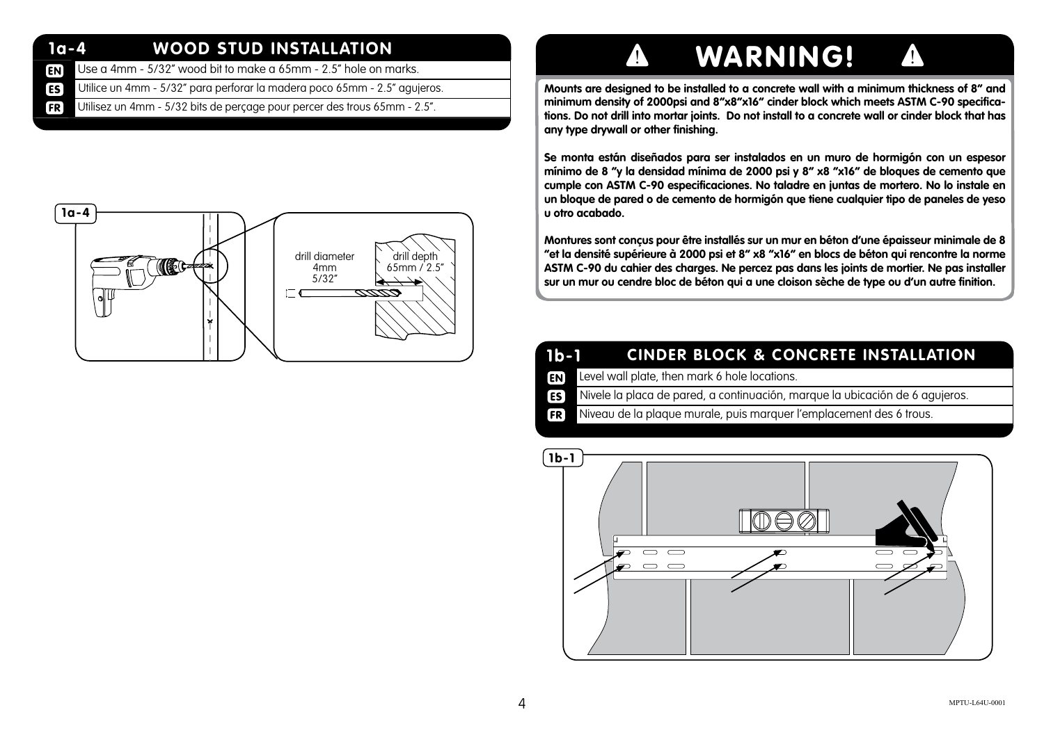#### **1a-4 WOOD STUD INSTALLATION**

- Use a 4mm 5/32" wood bit to make a 65mm 2.5" hole on marks. **EN**
- **ES** Utilice un 4mm - 5/32" para perforar la madera poco 65mm - 2.5" agujeros.
- Utilisez un 4mm 5/32 bits de perçage pour percer des trous 65mm 2.5". **FR**

### **1a-4**drill diameter drill depth 65mm / 2.5" 4mm 5/32"  $\Gamma$

# $\blacktriangle$  WARNING!  $\blacktriangle$

**Mounts are designed to be installed to a concrete wall with a minimum thickness of 8" and minimum density of 2000psi and 8"x8"x16" cinder block which meets ASTM C-90 specifications. Do not drill into mortar joints. Do not install to a concrete wall or cinder block that has any type drywall or other finishing.**

**Se monta están diseñados para ser instalados en un muro de hormigón con un espesor mínimo de 8 "y la densidad mínima de 2000 psi y 8" x8 "x16" de bloques de cemento que cumple con ASTM C-90 especificaciones. No taladre en juntas de mortero. No lo instale en un bloque de pared o de cemento de hormigón que tiene cualquier tipo de paneles de yeso u otro acabado.**

**Montures sont conçus pour être installés sur un mur en béton d'une épaisseur minimale de 8 "et la densité supérieure à 2000 psi et 8" x8 "x16" en blocs de béton qui rencontre la norme ASTM C-90 du cahier des charges. Ne percez pas dans les joints de mortier. Ne pas installer sur un mur ou cendre bloc de béton qui a une cloison sèche de type ou d'un autre finition.**

#### **1b-1 CINDER BLOCK & CONCRETE INSTALLATION**

- **EN** Level wall plate, then mark 6 hole locations.
- **ES** Nivele la placa de pared, a continuación, marque la ubicación de 6 agujeros.
- Niveau de la plaque murale, puis marquer l'emplacement des 6 trous.  $F$

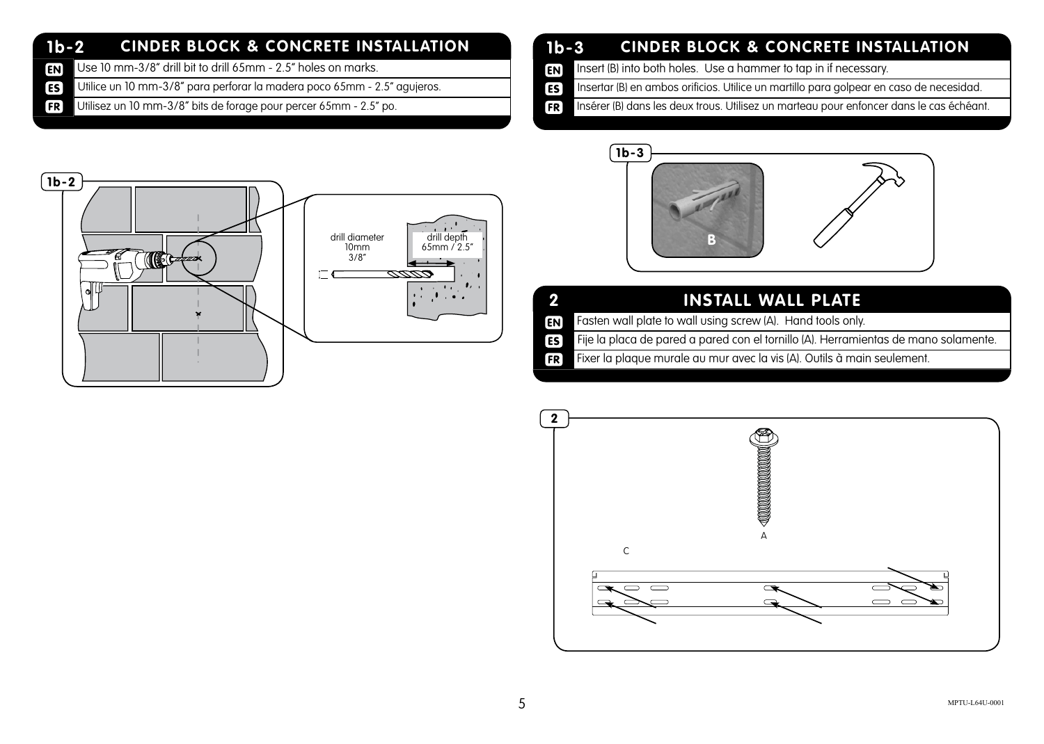#### **1b-2 CINDER BLOCK & CONCRETE INSTALLATION**

- Use 10 mm-3/8" drill bit to drill 65mm 2.5" holes on marks. **EN**
- **ES** Utilice un 10 mm-3/8" para perforar la madera poco 65mm - 2.5" agujeros.
- Utilisez un 10 mm-3/8" bits de forage pour percer 65mm 2.5" po. **FR**

### **1b-3 CINDER BLOCK & CONCRETE INSTALLATION**

- **EN** Insert (B) into both holes. Use a hammer to tap in if necessary.
- ES<sup>]</sup> Insertar (B) en ambos orificios. Utilice un martillo para golpear en caso de necesidad.
- Insérer (B) dans les deux trous. Utilisez un marteau pour enfoncer dans le cas échéant.  $FR$





| 40 T           | INSTALL WALL PLATE,                                                                 |
|----------------|-------------------------------------------------------------------------------------|
| <b>EN</b>      | Fasten wall plate to wall using screw (A). Hand tools only.                         |
| ES <sup></sup> | Fije la placa de pared a pared con el tornillo (A). Herramientas de mano solamente. |

Fixer la plaque murale au mur avec la vis (A). Outils à main seulement. **FR** 

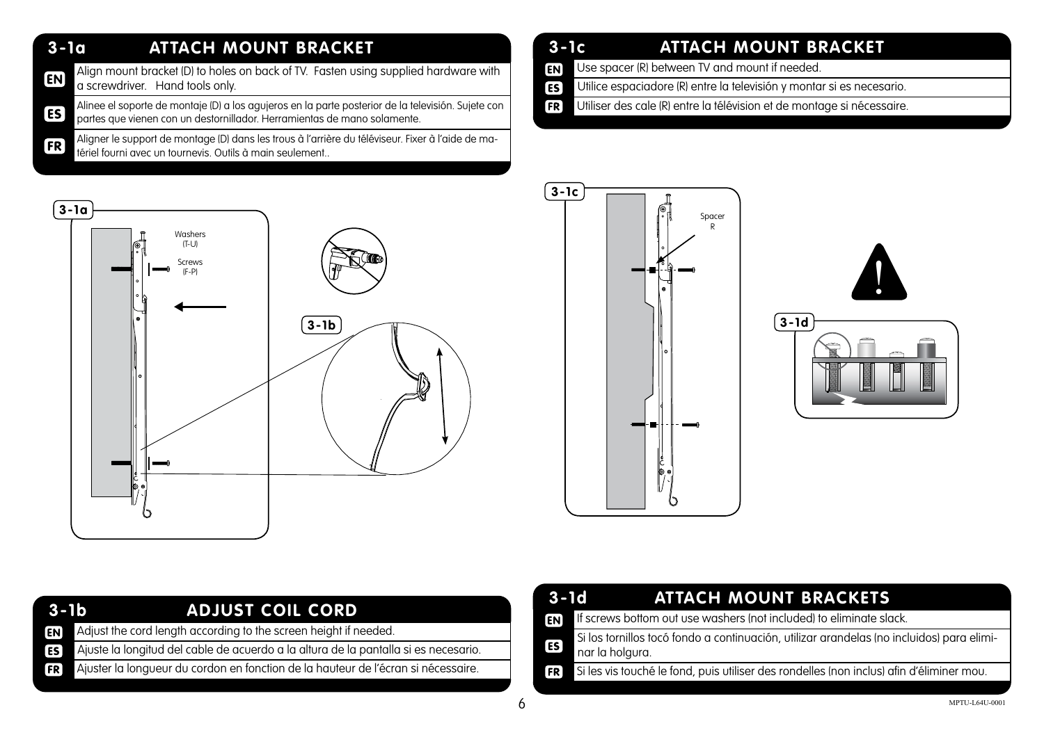#### **3-1a ATTACH MOUNT BRACKET**

**3-1a**

Align mount bracket (D) to holes on back of TV. Fasten using supplied hardware with  $F<sub>N</sub>$ a screwdriver. Hand tools only.

Alinee el soporte de montaje (D) a los agujeros en la parte posterior de la televisión. Sujete con ES<sup></sup> partes que vienen con un destornillador. Herramientas de mano solamente.

Aligner le support de montage (D) dans les trous à l'arrière du téléviseur. Fixer à l'aide de ma-**FR** tériel fourni avec un tournevis. Outils à main seulement..

#### **3-1c ATTACH MOUNT BRACKET**

- Use spacer (R) between TV and mount if needed. **EN**
- **ES** Utilice espaciadore (R) entre la televisión y montar si es necesario.
- Utiliser des cale (R) entre la télévision et de montage si nécessaire. **FR**



| $($ 3-1c $)$ |                                                                                  |
|--------------|----------------------------------------------------------------------------------|
|              | ୍ଚ<br>Spacer $\mathsf{R}$<br>۰<br>õ<br>Ľ)<br>Ű<br>٥<br>ö<br>0<br>$\frac{1}{c}$ . |





| $3 - 1b$        | ADJUST COIL CORD                                                                    |
|-----------------|-------------------------------------------------------------------------------------|
| EN <sub>I</sub> | Adjust the cord length according to the screen height if needed.                    |
| ES <sup>1</sup> | Ajuste la longitud del cable de acuerdo a la altura de la pantalla si es necesario. |
| FR              | Ajuster la longueur du cordon en fonction de la hauteur de l'écran si nécessaire.   |
|                 |                                                                                     |

| $3-1d$         | <b>ATTACH MOUNT BRACKETS</b>                                                                                 |
|----------------|--------------------------------------------------------------------------------------------------------------|
| EN <sup></sup> | If screws bottom out use washers (not included) to eliminate slack.                                          |
| ES <sup></sup> | Si los tornillos tocó fondo a continuación, utilizar arandelas (no incluidos) para elimi-<br>nar la holgura. |
| FR             | Si les vis touché le fond, puis utiliser des rondelles (non inclus) afin d'éliminer mou.                     |
|                |                                                                                                              |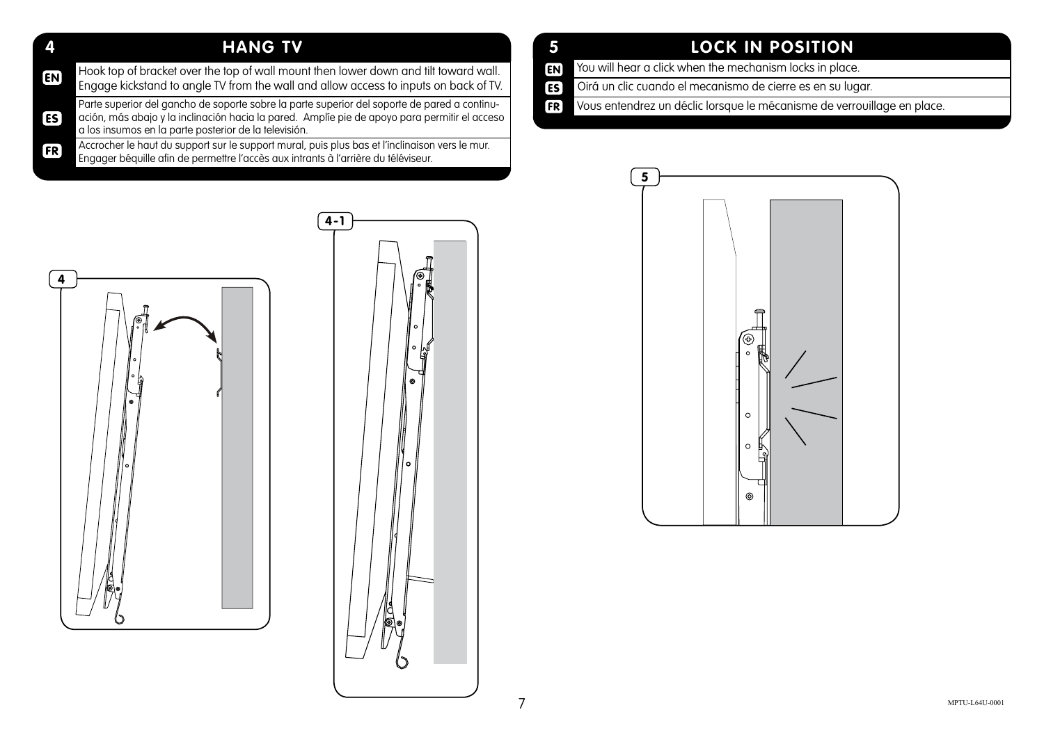#### **4 HANG TV**

| $\boxed{EN}$ | Hook top of bracket over the top of wall mount then lower down and tilt toward wall.<br>Engage kickstand to angle TV from the wall and allow access to inputs on back of TV.                                                                           |
|--------------|--------------------------------------------------------------------------------------------------------------------------------------------------------------------------------------------------------------------------------------------------------|
| [ES]         | Parte superior del gancho de soporte sobre la parte superior del soporte de pared a continu-<br>ación, más abajo y la inclinación hacia la pared. Amplíe pie de apoyo para permitir el acceso<br>a los insumos en la parte posterior de la televisión. |
|              |                                                                                                                                                                                                                                                        |

**FR** Accrocher le haut du support sur le support mural, puis plus bas et l'inclinaison vers le mur. Engager béquille afin de permettre l'accès aux intrants à l'arrière du téléviseur.

### **5 LOCK IN POSITION**

- You will hear a click when the mechanism locks in place. EN<sub></sub>
- Oirá un clic cuando el mecanismo de cierre es en su lugar. ES<sup>)</sup>
- **FR** Vous entendrez un déclic lorsque le mécanisme de verrouillage en place.





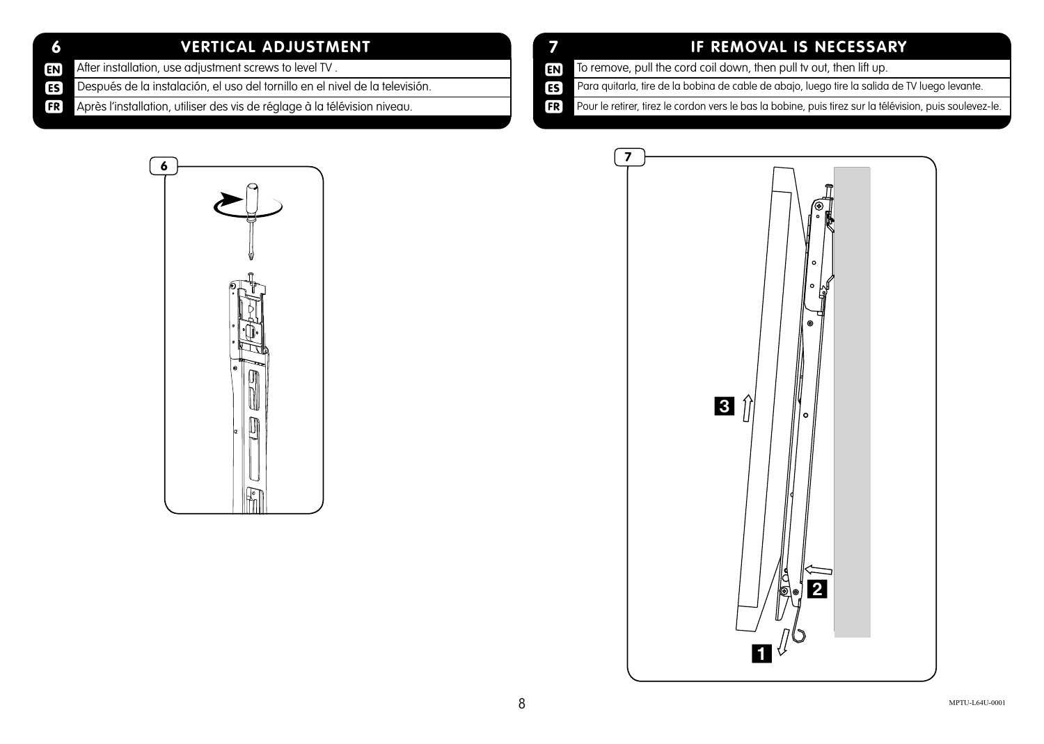#### **6 VERTICAL ADJUSTMENT**

- After installation, use adjustment screws to level TV . **EN**
- **ES** Después de la instalación, el uso del tornillo en el nivel de la televisión.
- $[FR]$ Après l'installation, utiliser des vis de réglage à la télévision niveau.

#### **7 IF REMOVAL IS NECESSARY**

- To remove, pull the cord coil down, then pull tv out, then lift up.  $E<sub>N</sub>$
- Para quitarla, tire de la bobina de cable de abajo, luego tire la salida de TV luego levante. ES<sup></sub></sup>
- Pour le retirer, tirez le cordon vers le bas la bobine, puis tirez sur la télévision, puis soulevez-le.  $[FR]$